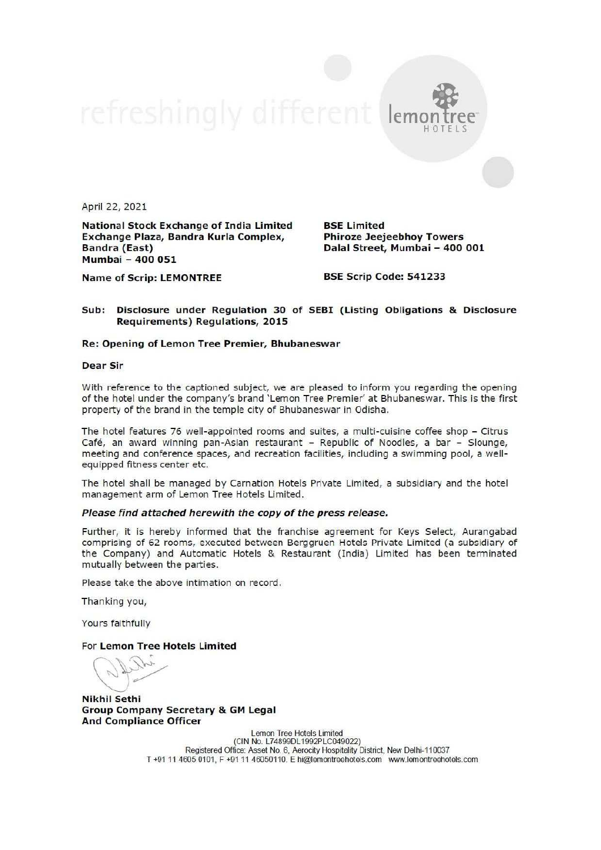$lem$ 

April 22, 2021

National Stock Exchange of India Limited Exchange Plaza, Bandra Kurla Complex, Bandra (East) Mumbai - 400 051

BSE Limited Phiroze Jeejeebhoy Towers Dalal Street, Mumbai - 400 001

Name of Scrip: LEMONTREE

BSE Scrip Code: 541233

### Sub: Disclosure under Regulation 30 of SEBI (Listing Obligations & Disclosure Requirements) Regulations, 2015

#### Re: Opening of Lemon Tree Premier, Bhubaneswar

Dear Sir

With reference to the captioned subject, we are pleased to inform you regarding the opening of the hotel under the company's brand 'Lemon Tree Premier' at Bhubaneswar. This is the first property of the brand in the temple city of Bhubaneswar in Odisha.

The hotel features 76 well-appointed rooms and suites, a multi-cuisine coffee shop - Citrus Café, an award winning pan-Asian restaurant - Republic of Noodles, a bar - Slounge, meeting and conference spaces, and recreation facilities, including a swimming pool, a wellequipped fitness center etc.

The hotel shall be managed by Carnation Hotels Private Limited, a subsidiary and the hotel management arm of Lemon Tree Hotels Limited.

#### Please find attached herewith the copy of the press release.

Further, it is hereby informed that the franchise agreement for Keys Select, Aurangabad comprising of 62 rooms, executed between Berggruen Hotels Private Limited (a subsidiary of the Company) and Automatic Hotels & Restaurant (India) Limited has been terminated mutually between the parties.

Please take the above intimation on record.

Thanking you,

Yours faithfully

For Lemon Tree Hotels Limited

what (  $\overline{\phantom{a}}$ 

Nikhil Sethi Group Company Secretary & GM Legal And Compliance Officer

Lemon Tree Hotels Limited<br>(CIN No. L74899DL1992PLC049022)<br>Registered Office: Asset No. 6, Aerocity Hospitality District, New Delhi-110037<br>T+91 11 4605 0101, F+91 11 46050110. E hi@lemontreehotels.com www.lemontreehotels.co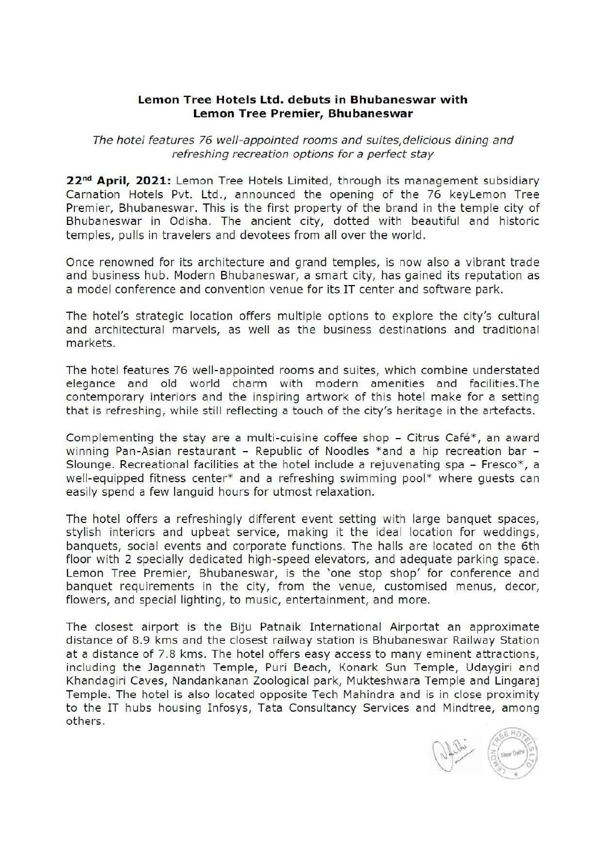## Lemon Tree Hotels Ltd. debuts in Bhubaneswar with Lemon Tree Premier, Bhubaneswar

The hotel features 76 well-appointed rooms and suites,delicious dining and refreshing recreation options for a perfect stay

22<sup>nd</sup> April, 2021: Lemon Tree Hotels Limited, through its management subsidiary Carnation Hotels Pvt. Ltd., announced the opening of the 76 keyLemon Tree Premier, Bhubaneswar. This is the first property of the brand in the temple city of Bhubaneswar in Odisha. The ancient city, dotted with beautiful and historic temples, pulls in travelers and devotees from all over the world.

Once renowned for its architecture and grand temples, is now also a vibrant trade and business hub. Modern Bhubaneswar, a smart city, has gained its reputation as a model conference and convention venue for its IT center and software park.

The hotel's strategic location offers multiple options to explore the city's cultural and architectural marvels, as well as the business destinations and traditional markets.

The hotel features 76 well-appointed rooms and suites, which combine understated elegance and old world charm with modern amenities and \_facilities.The contemporary interiors and the inspiring artwork of this hotel make for a setting that is refreshing, while still reflecting a touch of the city's heritage in the artefacts.

Complementing the stay are a multi-cuisine coffee shop - Citrus Café\*, an award winning Pan-Asian restaurant  $-$  Republic of Noodles \*and a hip recreation bar  $-$ Slounge. Recreational facilities at the hotel include a rejuvenating spa  $-$  Fresco\*, a well-equipped fitness center\* and a refreshing swimming pool\* where guests can easily spend a few languid hours for utmost relaxation.

The hotel offers a refreshingly different event setting with large banquet spaces, stylish interiors and upbeat service, making it the ideal location for weddings, banquets, social events and corporate functions. The halls are located on the 6th floor with 2 specially dedicated high-speed elevators, and adequate parking space. Lemon Tree Premier, Bhubaneswar, is the 'one stop shop' for conference and banquet requirements in the city, from the venue, customised menus, decor, flowers, and special lighting, to music, entertainment, and more.

The closest airport is the Biju Patnaik International Airportat an approximate distance of 8.9 kms and the closest railway station is Bhubaneswar Railway Station at a distance of 7.8 kms. The hotel offers easy access to many eminent attractions, including the Jagannath Temple, Puri Beach, Konark Sun Temple, Udaygiri and Khandagiri Caves, Nandankanan Zoological park, Mukteshwara Temple and Lingaraj Temple. The hotel is also located opposite Tech Mahindra and is in close proximity to the IT hubs housing Infosys, Tata Consultancy Services and Mindtree, among others.